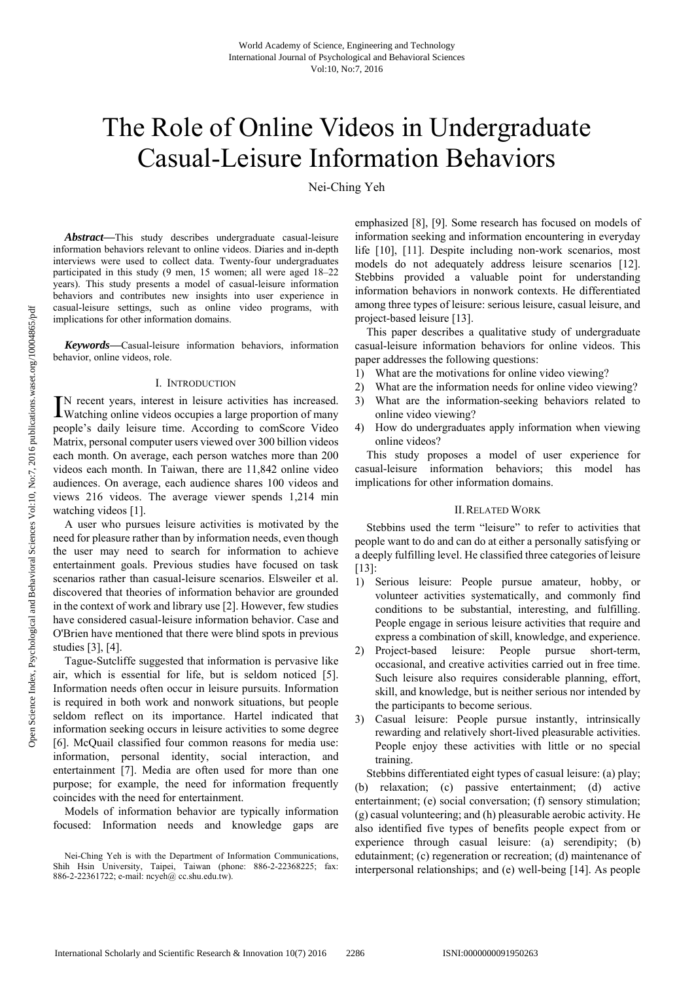# The Role of Online Videos in Undergraduate Casual-Leisure Information Behaviors

Nei-Ching Yeh

*Abstract***—**This study describes undergraduate casual-leisure information behaviors relevant to online videos. Diaries and in-depth interviews were used to collect data. Twenty-four undergraduates participated in this study (9 men, 15 women; all were aged 18–22 years). This study presents a model of casual-leisure information behaviors and contributes new insights into user experience in casual-leisure settings, such as online video programs, with implications for other information domains.

*Keywords***—**Casual-leisure information behaviors, information behavior, online videos, role.

#### I. INTRODUCTION

N recent years, interest in leisure activities has increased. IN recent years, interest in leisure activities has increased.<br>Watching online videos occupies a large proportion of many people's daily leisure time. According to comScore Video Matrix, personal computer users viewed over 300 billion videos each month. On average, each person watches more than 200 videos each month. In Taiwan, there are 11,842 online video audiences. On average, each audience shares 100 videos and views 216 videos. The average viewer spends 1,214 min watching videos [1].

A user who pursues leisure activities is motivated by the need for pleasure rather than by information needs, even though the user may need to search for information to achieve entertainment goals. Previous studies have focused on task scenarios rather than casual-leisure scenarios. Elsweiler et al. discovered that theories of information behavior are grounded in the context of work and library use [2]. However, few studies have considered casual-leisure information behavior. Case and O'Brien have mentioned that there were blind spots in previous studies [3], [4].

Tague-Sutcliffe suggested that information is pervasive like air, which is essential for life, but is seldom noticed [5]. Information needs often occur in leisure pursuits. Information is required in both work and nonwork situations, but people seldom reflect on its importance. Hartel indicated that information seeking occurs in leisure activities to some degree [6]. McQuail classified four common reasons for media use: information, personal identity, social interaction, and entertainment [7]. Media are often used for more than one purpose; for example, the need for information frequently coincides with the need for entertainment.

Models of information behavior are typically information focused: Information needs and knowledge gaps are

emphasized [8], [9]. Some research has focused on models of information seeking and information encountering in everyday life [10], [11]. Despite including non-work scenarios, most models do not adequately address leisure scenarios [12]. Stebbins provided a valuable point for understanding information behaviors in nonwork contexts. He differentiated among three types of leisure: serious leisure, casual leisure, and project-based leisure [13].

This paper describes a qualitative study of undergraduate casual-leisure information behaviors for online videos. This paper addresses the following questions:

- 1) What are the motivations for online video viewing?
- 2) What are the information needs for online video viewing?
- 3) What are the information-seeking behaviors related to online video viewing?
- 4) How do undergraduates apply information when viewing online videos?

This study proposes a model of user experience for casual-leisure information behaviors; this model has implications for other information domains.

#### II.RELATED WORK

Stebbins used the term "leisure" to refer to activities that people want to do and can do at either a personally satisfying or a deeply fulfilling level. He classified three categories of leisure [13]:

- 1) Serious leisure: People pursue amateur, hobby, or volunteer activities systematically, and commonly find conditions to be substantial, interesting, and fulfilling. People engage in serious leisure activities that require and express a combination of skill, knowledge, and experience.
- 2) Project-based leisure: People pursue short-term, occasional, and creative activities carried out in free time. Such leisure also requires considerable planning, effort, skill, and knowledge, but is neither serious nor intended by the participants to become serious.
- 3) Casual leisure: People pursue instantly, intrinsically rewarding and relatively short-lived pleasurable activities. People enjoy these activities with little or no special training.

Stebbins differentiated eight types of casual leisure: (a) play; (b) relaxation; (c) passive entertainment; (d) active entertainment; (e) social conversation; (f) sensory stimulation; (g) casual volunteering; and (h) pleasurable aerobic activity. He also identified five types of benefits people expect from or experience through casual leisure: (a) serendipity; (b) edutainment; (c) regeneration or recreation; (d) maintenance of interpersonal relationships; and (e) well-being [14]. As people

Nei-Ching Yeh is with the Department of Information Communications, Shih Hsin University, Taipei, Taiwan (phone: 886-2-22368225; fax: 886-2-22361722; e-mail: ncyeh@ cc.shu.edu.tw).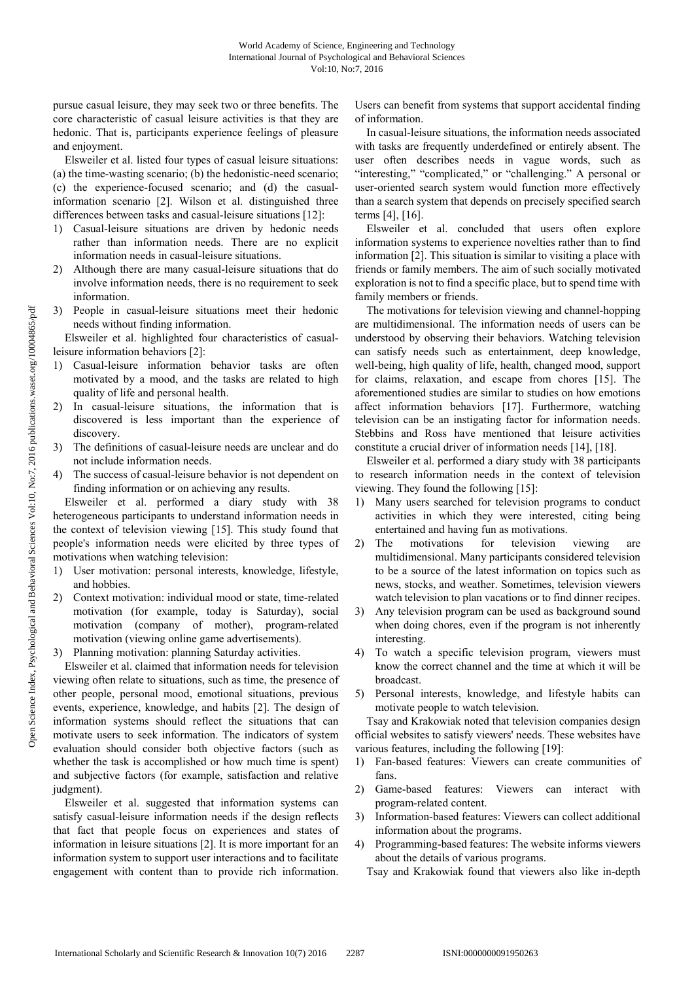pursue casual leisure, they may seek two or three benefits. The core characteristic of casual leisure activities is that they are hedonic. That is, participants experience feelings of pleasure and enjoyment.

Elsweiler et al. listed four types of casual leisure situations: (a) the time-wasting scenario; (b) the hedonistic-need scenario; (c) the experience-focused scenario; and (d) the casualinformation scenario [2]. Wilson et al. distinguished three differences between tasks and casual-leisure situations [12]:

- 1) Casual-leisure situations are driven by hedonic needs rather than information needs. There are no explicit information needs in casual-leisure situations.
- 2) Although there are many casual-leisure situations that do involve information needs, there is no requirement to seek information.
- 3) People in casual-leisure situations meet their hedonic needs without finding information.

Elsweiler et al. highlighted four characteristics of casualleisure information behaviors [2]:

- 1) Casual-leisure information behavior tasks are often motivated by a mood, and the tasks are related to high quality of life and personal health.
- 2) In casual-leisure situations, the information that is discovered is less important than the experience of discovery.
- 3) The definitions of casual-leisure needs are unclear and do not include information needs.
- 4) The success of casual-leisure behavior is not dependent on finding information or on achieving any results.

Elsweiler et al. performed a diary study with 38 heterogeneous participants to understand information needs in the context of television viewing [15]. This study found that people's information needs were elicited by three types of motivations when watching television:

- 1) User motivation: personal interests, knowledge, lifestyle, and hobbies.
- 2) Context motivation: individual mood or state, time-related motivation (for example, today is Saturday), social motivation (company of mother), program-related motivation (viewing online game advertisements).
- Planning motivation: planning Saturday activities.

Elsweiler et al. claimed that information needs for television viewing often relate to situations, such as time, the presence of other people, personal mood, emotional situations, previous events, experience, knowledge, and habits [2]. The design of information systems should reflect the situations that can motivate users to seek information. The indicators of system evaluation should consider both objective factors (such as whether the task is accomplished or how much time is spent) and subjective factors (for example, satisfaction and relative judgment).

Elsweiler et al. suggested that information systems can satisfy casual-leisure information needs if the design reflects that fact that people focus on experiences and states of information in leisure situations [2]. It is more important for an information system to support user interactions and to facilitate engagement with content than to provide rich information.

Users can benefit from systems that support accidental finding of information.

In casual-leisure situations, the information needs associated with tasks are frequently underdefined or entirely absent. The user often describes needs in vague words, such as "interesting," "complicated," or "challenging." A personal or user-oriented search system would function more effectively than a search system that depends on precisely specified search terms [4], [16].

Elsweiler et al. concluded that users often explore information systems to experience novelties rather than to find information [2]. This situation is similar to visiting a place with friends or family members. The aim of such socially motivated exploration is not to find a specific place, but to spend time with family members or friends.

The motivations for television viewing and channel-hopping are multidimensional. The information needs of users can be understood by observing their behaviors. Watching television can satisfy needs such as entertainment, deep knowledge, well-being, high quality of life, health, changed mood, support for claims, relaxation, and escape from chores [15]. The aforementioned studies are similar to studies on how emotions affect information behaviors [17]. Furthermore, watching television can be an instigating factor for information needs. Stebbins and Ross have mentioned that leisure activities constitute a crucial driver of information needs [14], [18].

Elsweiler et al. performed a diary study with 38 participants to research information needs in the context of television viewing. They found the following [15]:

- 1) Many users searched for television programs to conduct activities in which they were interested, citing being entertained and having fun as motivations.
- 2) The motivations for television viewing are multidimensional. Many participants considered television to be a source of the latest information on topics such as news, stocks, and weather. Sometimes, television viewers watch television to plan vacations or to find dinner recipes.
- 3) Any television program can be used as background sound when doing chores, even if the program is not inherently interesting.
- 4) To watch a specific television program, viewers must know the correct channel and the time at which it will be broadcast.
- 5) Personal interests, knowledge, and lifestyle habits can motivate people to watch television.

Tsay and Krakowiak noted that television companies design official websites to satisfy viewers' needs. These websites have various features, including the following [19]:

- 1) Fan-based features: Viewers can create communities of fans.
- 2) Game-based features: Viewers can interact with program-related content.
- 3) Information-based features: Viewers can collect additional information about the programs.
- 4) Programming-based features: The website informs viewers about the details of various programs.
	- Tsay and Krakowiak found that viewers also like in-depth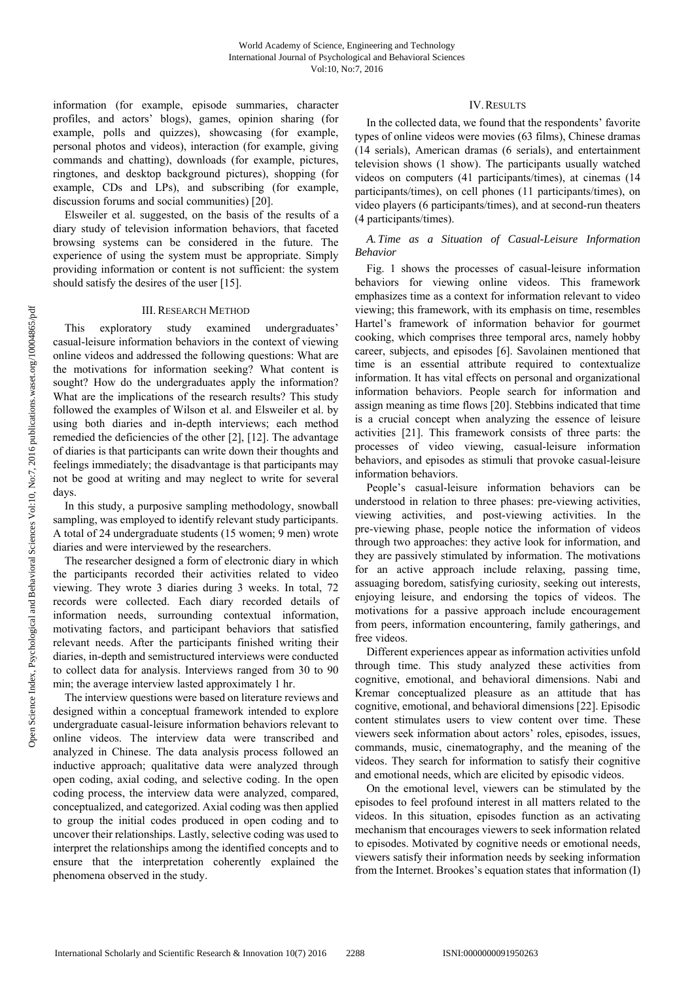information (for example, episode summaries, character profiles, and actors' blogs), games, opinion sharing (for example, polls and quizzes), showcasing (for example, personal photos and videos), interaction (for example, giving commands and chatting), downloads (for example, pictures, ringtones, and desktop background pictures), shopping (for example, CDs and LPs), and subscribing (for example, discussion forums and social communities) [20].

Elsweiler et al. suggested, on the basis of the results of a diary study of television information behaviors, that faceted browsing systems can be considered in the future. The experience of using the system must be appropriate. Simply providing information or content is not sufficient: the system should satisfy the desires of the user [15].

#### III. RESEARCH METHOD

This exploratory study examined undergraduates' casual-leisure information behaviors in the context of viewing online videos and addressed the following questions: What are the motivations for information seeking? What content is sought? How do the undergraduates apply the information? What are the implications of the research results? This study followed the examples of Wilson et al. and Elsweiler et al. by using both diaries and in-depth interviews; each method remedied the deficiencies of the other [2], [12]. The advantage of diaries is that participants can write down their thoughts and feelings immediately; the disadvantage is that participants may not be good at writing and may neglect to write for several days.

In this study, a purposive sampling methodology, snowball sampling, was employed to identify relevant study participants. A total of 24 undergraduate students (15 women; 9 men) wrote diaries and were interviewed by the researchers.

The researcher designed a form of electronic diary in which the participants recorded their activities related to video viewing. They wrote 3 diaries during 3 weeks. In total, 72 records were collected. Each diary recorded details of information needs, surrounding contextual information, motivating factors, and participant behaviors that satisfied relevant needs. After the participants finished writing their diaries, in-depth and semistructured interviews were conducted to collect data for analysis. Interviews ranged from 30 to 90 min; the average interview lasted approximately 1 hr.

The interview questions were based on literature reviews and designed within a conceptual framework intended to explore undergraduate casual-leisure information behaviors relevant to online videos. The interview data were transcribed and analyzed in Chinese. The data analysis process followed an inductive approach; qualitative data were analyzed through open coding, axial coding, and selective coding. In the open coding process, the interview data were analyzed, compared, conceptualized, and categorized. Axial coding was then applied to group the initial codes produced in open coding and to uncover their relationships. Lastly, selective coding was used to interpret the relationships among the identified concepts and to ensure that the interpretation coherently explained the phenomena observed in the study.

## IV.RESULTS

In the collected data, we found that the respondents' favorite types of online videos were movies (63 films), Chinese dramas (14 serials), American dramas (6 serials), and entertainment television shows (1 show). The participants usually watched videos on computers (41 participants/times), at cinemas (14 participants/times), on cell phones (11 participants/times), on video players (6 participants/times), and at second-run theaters (4 participants/times).

# *A. Time as a Situation of Casual-Leisure Information Behavior*

Fig. 1 shows the processes of casual-leisure information behaviors for viewing online videos. This framework emphasizes time as a context for information relevant to video viewing; this framework, with its emphasis on time, resembles Hartel's framework of information behavior for gourmet cooking, which comprises three temporal arcs, namely hobby career, subjects, and episodes [6]. Savolainen mentioned that time is an essential attribute required to contextualize information. It has vital effects on personal and organizational information behaviors. People search for information and assign meaning as time flows [20]. Stebbins indicated that time is a crucial concept when analyzing the essence of leisure activities [21]. This framework consists of three parts: the processes of video viewing, casual-leisure information behaviors, and episodes as stimuli that provoke casual-leisure information behaviors.

People's casual-leisure information behaviors can be understood in relation to three phases: pre-viewing activities, viewing activities, and post-viewing activities. In the pre-viewing phase, people notice the information of videos through two approaches: they active look for information, and they are passively stimulated by information. The motivations for an active approach include relaxing, passing time, assuaging boredom, satisfying curiosity, seeking out interests, enjoying leisure, and endorsing the topics of videos. The motivations for a passive approach include encouragement from peers, information encountering, family gatherings, and free videos.

Different experiences appear as information activities unfold through time. This study analyzed these activities from cognitive, emotional, and behavioral dimensions. Nabi and Kremar conceptualized pleasure as an attitude that has cognitive, emotional, and behavioral dimensions [22]. Episodic content stimulates users to view content over time. These viewers seek information about actors' roles, episodes, issues, commands, music, cinematography, and the meaning of the videos. They search for information to satisfy their cognitive and emotional needs, which are elicited by episodic videos.

On the emotional level, viewers can be stimulated by the episodes to feel profound interest in all matters related to the videos. In this situation, episodes function as an activating mechanism that encourages viewers to seek information related to episodes. Motivated by cognitive needs or emotional needs, viewers satisfy their information needs by seeking information from the Internet. Brookes's equation states that information (I)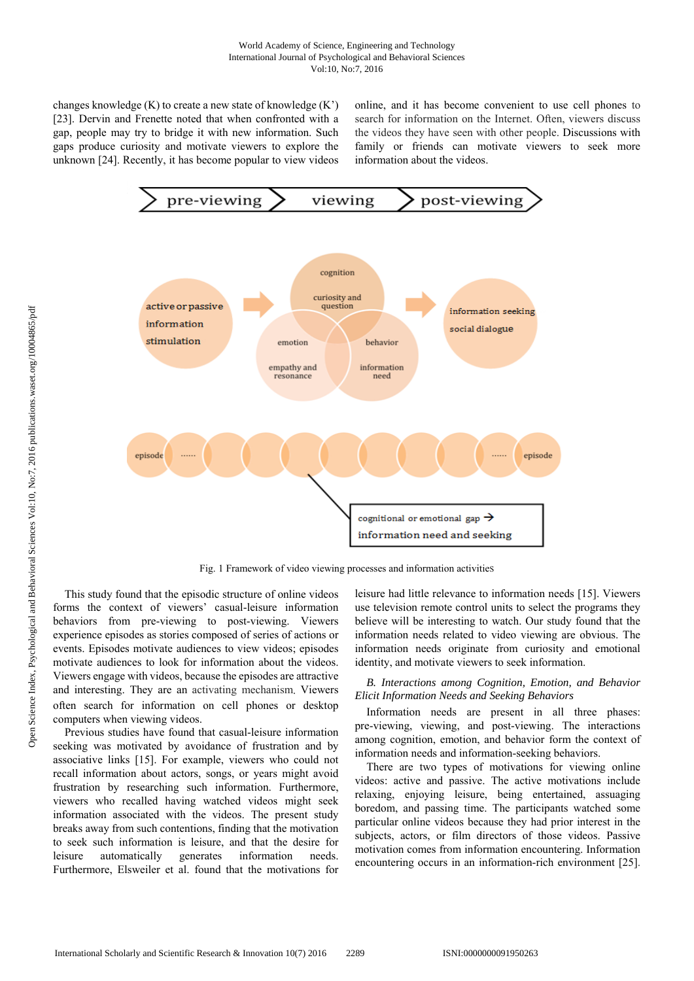changes knowledge  $(K)$  to create a new state of knowledge  $(K')$ [23]. Dervin and Frenette noted that when confronted with a gap, people may try to bridge it with new information. Such gaps produce curiosity and motivate viewers to explore the unknown [24]. Recently, it has become popular to view videos online, and it has become convenient to use cell phones to search for information on the Internet. Often, viewers discuss the videos they have seen with other people. Discussions with family or friends can motivate viewers to seek more information about the videos.



Fig. 1 Framework of video viewing processes and information activitieS

This study found that the episodic structure of online videos forms the context of viewers' casual-leisure information behaviors from pre-viewing to post-viewing. Viewers experience episodes as stories composed of series of actions or events. Episodes motivate audiences to view videos; episodes motivate audiences to look for information about the videos. Viewers engage with videos, because the episodes are attractive and interesting. They are an activating mechanism. Viewers often search for information on cell phones or desktop computers when viewing videos.

Previous studies have found that casual-leisure information seeking was motivated by avoidance of frustration and by associative links [15]. For example, viewers who could not recall information about actors, songs, or years might avoid frustration by researching such information. Furthermore, viewers who recalled having watched videos might seek information associated with the videos. The present study breaks away from such contentions, finding that the motivation to seek such information is leisure, and that the desire for leisure automatically generates information needs. Furthermore, Elsweiler et al. found that the motivations for leisure had little relevance to information needs [15]. Viewers use television remote control units to select the programs they believe will be interesting to watch. Our study found that the information needs related to video viewing are obvious. The information needs originate from curiosity and emotional identity, and motivate viewers to seek information.

### *B. Interactions among Cognition, Emotion, and Behavior Elicit Information Needs and Seeking Behaviors*

Information needs are present in all three phases: pre-viewing, viewing, and post-viewing. The interactions among cognition, emotion, and behavior form the context of information needs and information-seeking behaviors.

There are two types of motivations for viewing online videos: active and passive. The active motivations include relaxing, enjoying leisure, being entertained, assuaging boredom, and passing time. The participants watched some particular online videos because they had prior interest in the subjects, actors, or film directors of those videos. Passive motivation comes from information encountering. Information encountering occurs in an information-rich environment [25].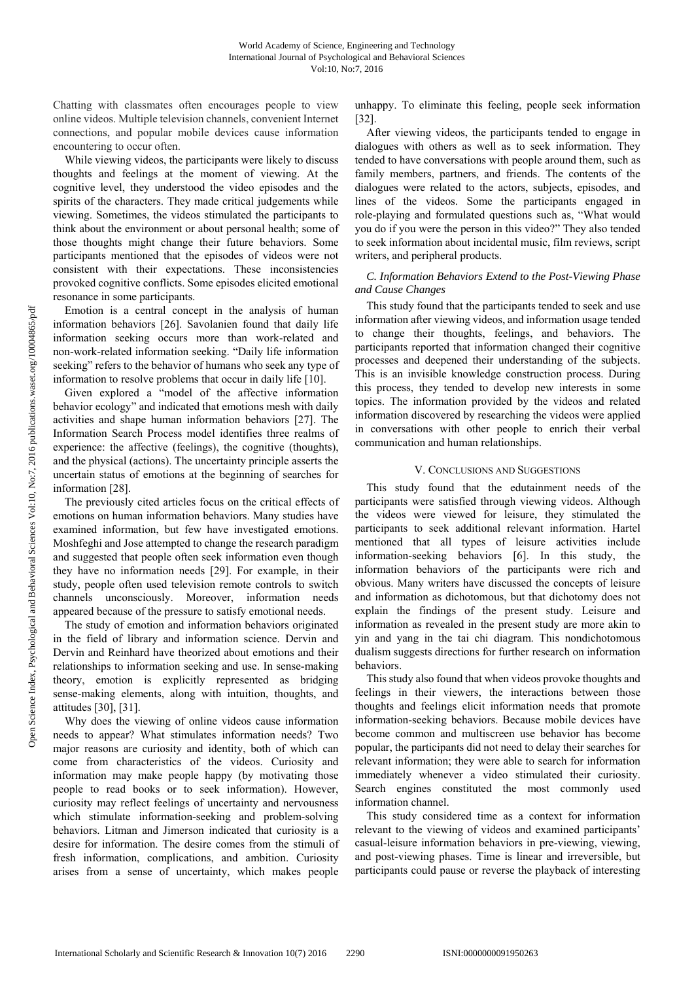Chatting with classmates often encourages people to view online videos. Multiple television channels, convenient Internet connections, and popular mobile devices cause information encountering to occur often.

While viewing videos, the participants were likely to discuss thoughts and feelings at the moment of viewing. At the cognitive level, they understood the video episodes and the spirits of the characters. They made critical judgements while viewing. Sometimes, the videos stimulated the participants to think about the environment or about personal health; some of those thoughts might change their future behaviors. Some participants mentioned that the episodes of videos were not consistent with their expectations. These inconsistencies provoked cognitive conflicts. Some episodes elicited emotional resonance in some participants.

Emotion is a central concept in the analysis of human information behaviors [26]. Savolanien found that daily life information seeking occurs more than work-related and non-work-related information seeking. "Daily life information seeking" refers to the behavior of humans who seek any type of information to resolve problems that occur in daily life [10].

Given explored a "model of the affective information behavior ecology" and indicated that emotions mesh with daily activities and shape human information behaviors [27]. The Information Search Process model identifies three realms of experience: the affective (feelings), the cognitive (thoughts), and the physical (actions). The uncertainty principle asserts the uncertain status of emotions at the beginning of searches for information [28].

The previously cited articles focus on the critical effects of emotions on human information behaviors. Many studies have examined information, but few have investigated emotions. Moshfeghi and Jose attempted to change the research paradigm and suggested that people often seek information even though they have no information needs [29]. For example, in their study, people often used television remote controls to switch channels unconsciously. Moreover, information needs appeared because of the pressure to satisfy emotional needs.

The study of emotion and information behaviors originated in the field of library and information science. Dervin and Dervin and Reinhard have theorized about emotions and their relationships to information seeking and use. In sense-making theory, emotion is explicitly represented as bridging sense-making elements, along with intuition, thoughts, and attitudes [30], [31].

Why does the viewing of online videos cause information needs to appear? What stimulates information needs? Two major reasons are curiosity and identity, both of which can come from characteristics of the videos. Curiosity and information may make people happy (by motivating those people to read books or to seek information). However, curiosity may reflect feelings of uncertainty and nervousness which stimulate information-seeking and problem-solving behaviors. Litman and Jimerson indicated that curiosity is a desire for information. The desire comes from the stimuli of fresh information, complications, and ambition. Curiosity arises from a sense of uncertainty, which makes people unhappy. To eliminate this feeling, people seek information [32].

After viewing videos, the participants tended to engage in dialogues with others as well as to seek information. They tended to have conversations with people around them, such as family members, partners, and friends. The contents of the dialogues were related to the actors, subjects, episodes, and lines of the videos. Some the participants engaged in role-playing and formulated questions such as, "What would you do if you were the person in this video?" They also tended to seek information about incidental music, film reviews, script writers, and peripheral products.

# *C. Information Behaviors Extend to the Post-Viewing Phase and Cause Changes*

This study found that the participants tended to seek and use information after viewing videos, and information usage tended to change their thoughts, feelings, and behaviors. The participants reported that information changed their cognitive processes and deepened their understanding of the subjects. This is an invisible knowledge construction process. During this process, they tended to develop new interests in some topics. The information provided by the videos and related information discovered by researching the videos were applied in conversations with other people to enrich their verbal communication and human relationships.

# V. CONCLUSIONS AND SUGGESTIONS

This study found that the edutainment needs of the participants were satisfied through viewing videos. Although the videos were viewed for leisure, they stimulated the participants to seek additional relevant information. Hartel mentioned that all types of leisure activities include information-seeking behaviors [6]. In this study, the information behaviors of the participants were rich and obvious. Many writers have discussed the concepts of leisure and information as dichotomous, but that dichotomy does not explain the findings of the present study. Leisure and information as revealed in the present study are more akin to yin and yang in the tai chi diagram. This nondichotomous dualism suggests directions for further research on information behaviors.

This study also found that when videos provoke thoughts and feelings in their viewers, the interactions between those thoughts and feelings elicit information needs that promote information-seeking behaviors. Because mobile devices have become common and multiscreen use behavior has become popular, the participants did not need to delay their searches for relevant information; they were able to search for information immediately whenever a video stimulated their curiosity. Search engines constituted the most commonly used information channel.

This study considered time as a context for information relevant to the viewing of videos and examined participants' casual-leisure information behaviors in pre-viewing, viewing, and post-viewing phases. Time is linear and irreversible, but participants could pause or reverse the playback of interesting